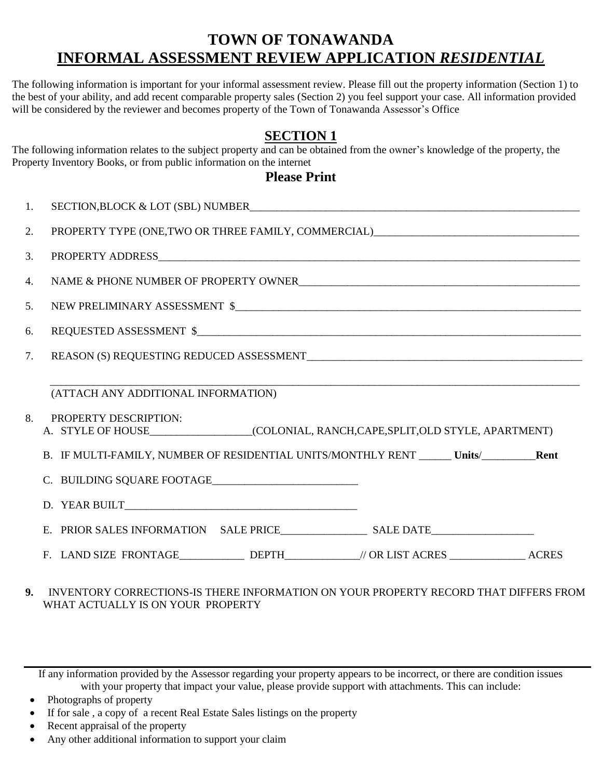# **TOWN OF TONAWANDA INFORMAL ASSESSMENT REVIEW APPLICATION** *RESIDENTIAL*

The following information is important for your informal assessment review. Please fill out the property information (Section 1) to the best of your ability, and add recent comparable property sales (Section 2) you feel support your case. All information provided will be considered by the reviewer and becomes property of the Town of Tonawanda Assessor's Office

## **SECTION 1**

The following information relates to the subject property and can be obtained from the owner's knowledge of the property, the Property Inventory Books, or from public information on the internet

### **Please Print**

| 1. |                                                                                                                                                               |  |  |  |
|----|---------------------------------------------------------------------------------------------------------------------------------------------------------------|--|--|--|
| 2. | PROPERTY TYPE (ONE, TWO OR THREE FAMILY, COMMERCIAL)_____________________________                                                                             |  |  |  |
| 3. |                                                                                                                                                               |  |  |  |
| 4. |                                                                                                                                                               |  |  |  |
| 5. | NEW PRELIMINARY ASSESSMENT $\$                                                                                                                                |  |  |  |
| 6. |                                                                                                                                                               |  |  |  |
| 7. |                                                                                                                                                               |  |  |  |
| 8. | (ATTACH ANY ADDITIONAL INFORMATION)<br><b>PROPERTY DESCRIPTION:</b><br>B. IF MULTI-FAMILY, NUMBER OF RESIDENTIAL UNITS/MONTHLY RENT ______ Units/________Rent |  |  |  |
|    | F. LAND SIZE FRONTAGE_______________DEPTH_____________// OR LIST ACRES __________________ACRES                                                                |  |  |  |
|    |                                                                                                                                                               |  |  |  |

#### **9.** INVENTORY CORRECTIONS-IS THERE INFORMATION ON YOUR PROPERTY RECORD THAT DIFFERS FROM WHAT ACTUALLY IS ON YOUR PROPERTY

If any information provided by the Assessor regarding your property appears to be incorrect, or there are condition issues with your property that impact your value, please provide support with attachments. This can include:

Photographs of property

If for sale , a copy of a recent Real Estate Sales listings on the property

- Recent appraisal of the property
- Any other additional information to support your claim